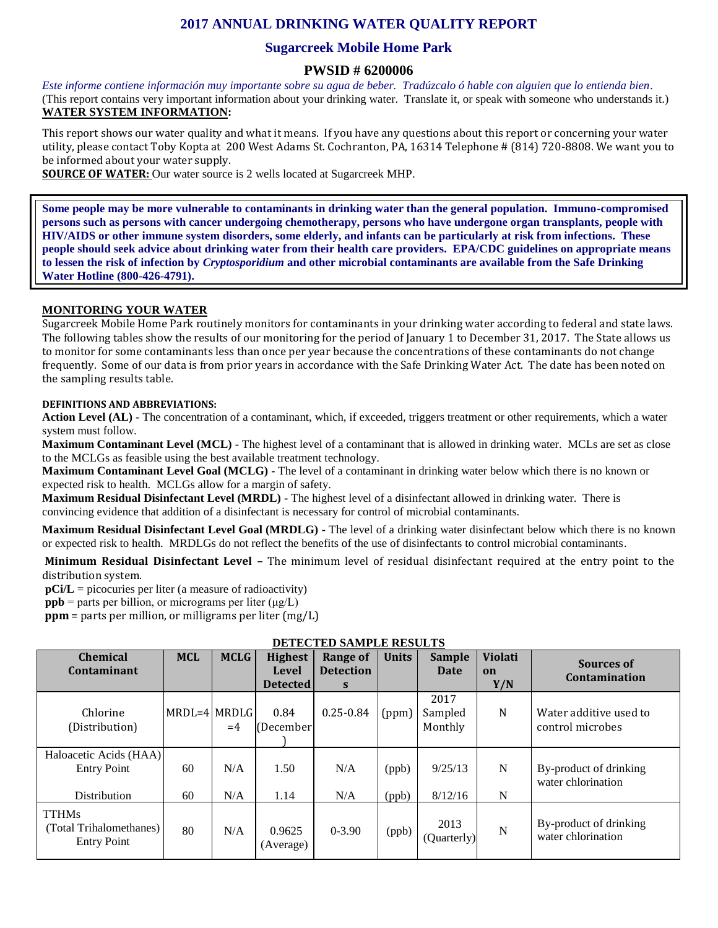# **2017 ANNUAL DRINKING WATER QUALITY REPORT**

## **Sugarcreek Mobile Home Park**

### **PWSID # 6200006**

*Este informe contiene información muy importante sobre su agua de beber. Tradúzcalo ó hable con alguien que lo entienda bien.*  (This report contains very important information about your drinking water. Translate it, or speak with someone who understands it.) **WATER SYSTEM INFORMATION:**

This report shows our water quality and what it means. If you have any questions about this report or concerning your water utility, please contact Toby Kopta at 200 West Adams St. Cochranton, PA, 16314 Telephone # (814) 720-8808. We want you to be informed about your water supply.

**SOURCE OF WATER:** Our water source is 2 wells located at Sugarcreek MHP.

**Some people may be more vulnerable to contaminants in drinking water than the general population. Immuno-compromised persons such as persons with cancer undergoing chemotherapy, persons who have undergone organ transplants, people with HIV/AIDS or other immune system disorders, some elderly, and infants can be particularly at risk from infections. These people should seek advice about drinking water from their health care providers. EPA/CDC guidelines on appropriate means to lessen the risk of infection by** *Cryptosporidium* **and other microbial contaminants are available from the Safe Drinking Water Hotline (800-426-4791).**

#### **MONITORING YOUR WATER**

Sugarcreek Mobile Home Park routinely monitors for contaminants in your drinking water according to federal and state laws. The following tables show the results of our monitoring for the period of January 1 to December 31, 2017. The State allows us to monitor for some contaminants less than once per year because the concentrations of these contaminants do not change frequently. Some of our data is from prior years in accordance with the Safe Drinking Water Act. The date has been noted on the sampling results table.

#### **DEFINITIONS AND ABBREVIATIONS:**

**Action Level (AL) -** The concentration of a contaminant, which, if exceeded, triggers treatment or other requirements, which a water system must follow.

**Maximum Contaminant Level (MCL) -** The highest level of a contaminant that is allowed in drinking water. MCLs are set as close to the MCLGs as feasible using the best available treatment technology.

**Maximum Contaminant Level Goal (MCLG) -** The level of a contaminant in drinking water below which there is no known or expected risk to health. MCLGs allow for a margin of safety.

**Maximum Residual Disinfectant Level (MRDL) -** The highest level of a disinfectant allowed in drinking water. There is convincing evidence that addition of a disinfectant is necessary for control of microbial contaminants.

**Maximum Residual Disinfectant Level Goal (MRDLG) -** The level of a drinking water disinfectant below which there is no known or expected risk to health. MRDLGs do not reflect the benefits of the use of disinfectants to control microbial contaminants.

**Minimum Residual Disinfectant Level –** The minimum level of residual disinfectant required at the entry point to the distribution system.

**pCi/L** = picocuries per liter (a measure of radioactivity)

**ppb** = parts per billion, or micrograms per liter  $(\mu g/L)$ 

**ppm** = parts per million, or milligrams per liter (mg/L)

| <b>Chemical</b><br>Contaminant                                | <b>MCL</b>     | <b>MCLG</b> | <b>Highest</b><br>Level<br><b>Detected</b> | <b>Range of</b><br><b>Detection</b><br>S | <b>Units</b>   | <b>Sample</b><br>Date      | <b>Violati</b><br>on<br>Y/N | Sources of<br>Contamination                  |
|---------------------------------------------------------------|----------------|-------------|--------------------------------------------|------------------------------------------|----------------|----------------------------|-----------------------------|----------------------------------------------|
| Chlorine<br>(Distribution)                                    | $MRDL=4$ MRDLG | $=4$        | 0.84<br>(December)                         | $0.25 - 0.84$                            | (ppm)          | 2017<br>Sampled<br>Monthly | N                           | Water additive used to<br>control microbes   |
| Haloacetic Acids (HAA)<br><b>Entry Point</b><br>Distribution  | 60<br>60       | N/A<br>N/A  | 1.50<br>1.14                               | N/A<br>N/A                               | (ppb)<br>(ppb) | 9/25/13<br>8/12/16         | N<br>N                      | By-product of drinking<br>water chlorination |
| <b>TTHMs</b><br>(Total Trihalomethanes)<br><b>Entry Point</b> | 80             | N/A         | 0.9625<br>(Average)                        | $0 - 3.90$                               | (ppb)          | 2013<br>(Quarterly)        | $\mathbf N$                 | By-product of drinking<br>water chlorination |

**DETECTED SAMPLE RESULTS**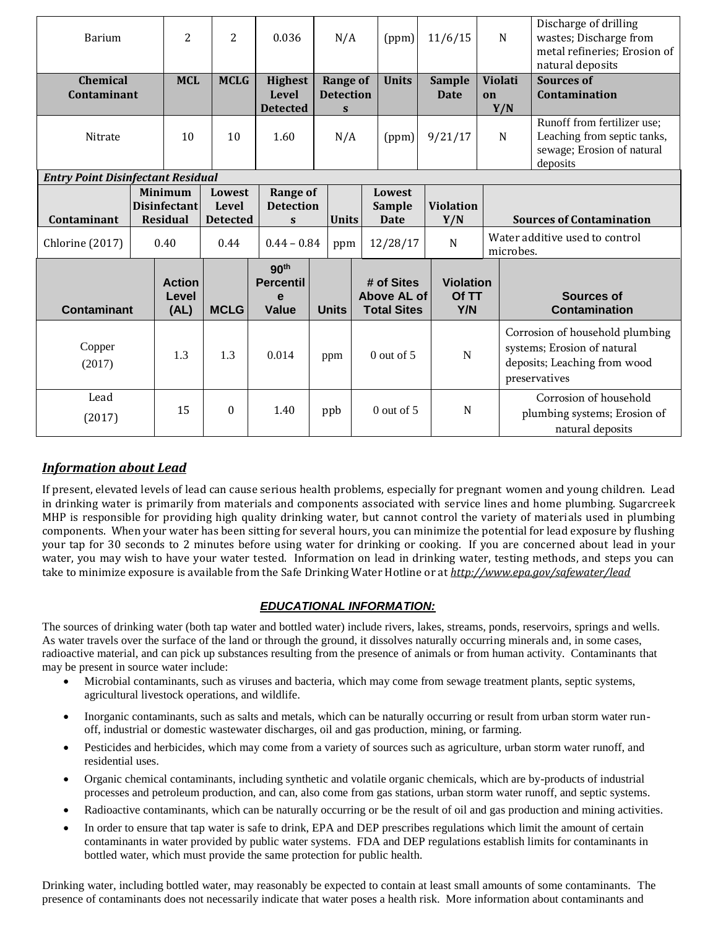| <b>Barium</b>                            |  | $\overline{2}$                                           | $\overline{2}$                            | 0.036                                              | N/A                                 |  | (ppm)                                           | 11/6/15                          |    | ${\bf N}$                       | Discharge of drilling<br>wastes; Discharge from<br>metal refineries; Erosion of<br>natural deposits             |  |
|------------------------------------------|--|----------------------------------------------------------|-------------------------------------------|----------------------------------------------------|-------------------------------------|--|-------------------------------------------------|----------------------------------|----|---------------------------------|-----------------------------------------------------------------------------------------------------------------|--|
| <b>Chemical</b><br>Contaminant           |  | <b>MCL</b>                                               | <b>MCLG</b>                               | <b>Highest</b><br><b>Level</b>                     | <b>Range of</b><br><b>Detection</b> |  | <b>Units</b>                                    | <b>Sample</b><br>Date            | on | <b>Violati</b>                  | <b>Sources of</b><br>Contamination                                                                              |  |
| Nitrate                                  |  | 10                                                       | 10                                        | <b>Detected</b><br>1.60                            | $\mathbf{s}$<br>N/A                 |  | (ppm)                                           | 9/21/17                          |    | Y/N<br>N                        | Runoff from fertilizer use;<br>Leaching from septic tanks,<br>sewage; Erosion of natural<br>deposits            |  |
| <b>Entry Point Disinfectant Residual</b> |  |                                                          |                                           |                                                    |                                     |  |                                                 |                                  |    |                                 |                                                                                                                 |  |
| Contaminant                              |  | <b>Minimum</b><br><b>Disinfectant</b><br><b>Residual</b> | <b>Lowest</b><br>Level<br><b>Detected</b> | <b>Range of</b><br><b>Detection</b><br>S           | <b>Units</b>                        |  | Lowest<br><b>Sample</b><br><b>Date</b>          | <b>Violation</b><br>Y/N          |    | <b>Sources of Contamination</b> |                                                                                                                 |  |
| Chlorine (2017)                          |  | 0.40                                                     | 0.44                                      | $0.44 - 0.84$                                      | ppm                                 |  | 12/28/17                                        | N                                |    |                                 | Water additive used to control<br>microbes.                                                                     |  |
| <b>Contaminant</b>                       |  | <b>Action</b><br>Level<br>(AL)                           | <b>MCLG</b>                               | 90 <sup>th</sup><br><b>Percentil</b><br>e<br>Value | <b>Units</b>                        |  | # of Sites<br>Above AL of<br><b>Total Sites</b> | <b>Violation</b><br>Of TT<br>Y/N |    |                                 | <b>Sources of</b><br><b>Contamination</b>                                                                       |  |
| Copper<br>(2017)                         |  | 1.3                                                      | 1.3                                       | 0.014                                              | ppm                                 |  | $0$ out of 5                                    | $\mathbf N$                      |    |                                 | Corrosion of household plumbing<br>systems; Erosion of natural<br>deposits; Leaching from wood<br>preservatives |  |
| Lead<br>(2017)                           |  | 15                                                       | $\theta$                                  | 1.40                                               | ppb                                 |  | $0$ out of 5                                    | N                                |    |                                 | Corrosion of household<br>plumbing systems; Erosion of<br>natural deposits                                      |  |

# *Information about Lead*

If present, elevated levels of lead can cause serious health problems, especially for pregnant women and young children. Lead in drinking water is primarily from materials and components associated with service lines and home plumbing. Sugarcreek MHP is responsible for providing high quality drinking water, but cannot control the variety of materials used in plumbing components. When your water has been sitting for several hours, you can minimize the potential for lead exposure by flushing your tap for 30 seconds to 2 minutes before using water for drinking or cooking. If you are concerned about lead in your water, you may wish to have your water tested. Information on lead in drinking water, testing methods, and steps you can take to minimize exposure is available from the Safe Drinking Water Hotline or at *http://www.epa.gov/safewater/lead*

## *EDUCATIONAL INFORMATION:*

The sources of drinking water (both tap water and bottled water) include rivers, lakes, streams, ponds, reservoirs, springs and wells. As water travels over the surface of the land or through the ground, it dissolves naturally occurring minerals and, in some cases, radioactive material, and can pick up substances resulting from the presence of animals or from human activity. Contaminants that may be present in source water include:

- Microbial contaminants, such as viruses and bacteria, which may come from sewage treatment plants, septic systems, agricultural livestock operations, and wildlife.
- Inorganic contaminants, such as salts and metals, which can be naturally occurring or result from urban storm water runoff, industrial or domestic wastewater discharges, oil and gas production, mining, or farming.
- Pesticides and herbicides, which may come from a variety of sources such as agriculture, urban storm water runoff, and residential uses.
- Organic chemical contaminants, including synthetic and volatile organic chemicals, which are by-products of industrial processes and petroleum production, and can, also come from gas stations, urban storm water runoff, and septic systems.
- Radioactive contaminants, which can be naturally occurring or be the result of oil and gas production and mining activities.
- In order to ensure that tap water is safe to drink, EPA and DEP prescribes regulations which limit the amount of certain contaminants in water provided by public water systems. FDA and DEP regulations establish limits for contaminants in bottled water, which must provide the same protection for public health.

Drinking water, including bottled water, may reasonably be expected to contain at least small amounts of some contaminants. The presence of contaminants does not necessarily indicate that water poses a health risk. More information about contaminants and